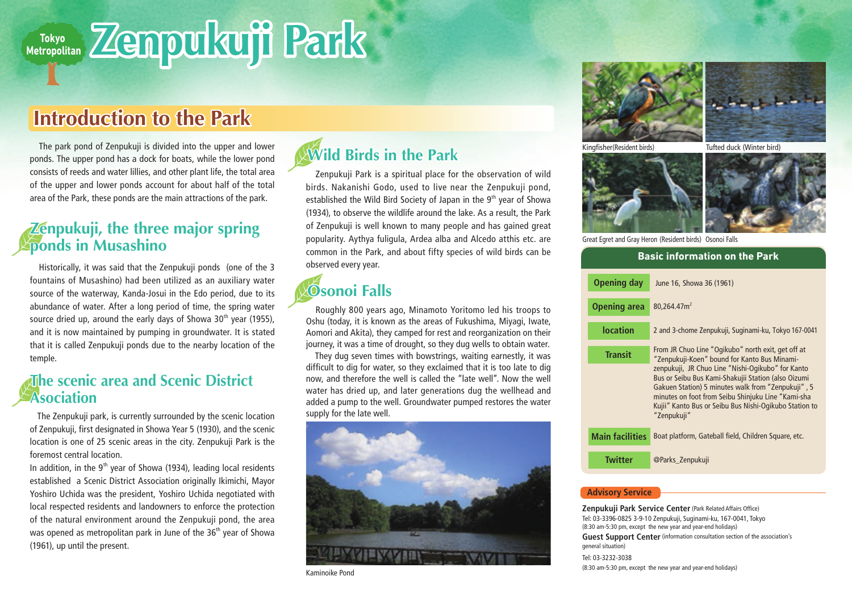# **Zenpukuji Park**

## **Introduction to the Park**

 The park pond of Zenpukuji is divided into the upper and lower ponds. The upper pond has a dock for boats, while the lower pond consists of reeds and water lillies, and other plant life, the total area of the upper and lower ponds account for about half of the total area of the Park, these ponds are the main attractions of the park.

#### **Zenpukuji, the three major spring ponds in Musashino**

 Historically, it was said that the Zenpukuji ponds (one of the 3 fountains of Musashino) had been utilized as an auxiliary water source of the waterway, Kanda-Josui in the Edo period, due to its abundance of water. After a long period of time, the spring water source dried up, around the early days of Showa  $30<sup>th</sup>$  year (1955), and it is now maintained by pumping in groundwater. It is stated that it is called Zenpukuji ponds due to the nearby location of the temple.

#### **The scenic area and Scenic District Asociation**

 The Zenpukuji park, is currently surrounded by the scenic location of Zenpukuji, first designated in Showa Year 5 (1930), and the scenic location is one of 25 scenic areas in the city. Zenpukuji Park is the foremost central location.

In addition, in the  $9<sup>th</sup>$  year of Showa (1934), leading local residents established a Scenic District Association originally Ikimichi, Mayor Yoshiro Uchida was the president, Yoshiro Uchida negotiated with local respected residents and landowners to enforce the protection of the natural environment around the Zenpukuji pond, the area was opened as metropolitan park in June of the  $36<sup>th</sup>$  year of Showa (1961), up until the present.

### **Wild Birds in the Park**

 Zenpukuji Park is a spiritual place for the observation of wild birds. Nakanishi Godo, used to live near the Zenpukuji pond, established the Wild Bird Society of Japan in the  $9<sup>th</sup>$  year of Showa (1934), to observe the wildlife around the lake. As a result, the Park of Zenpukuji is well known to many people and has gained great popularity. Aythya fuligula, Ardea alba and Alcedo atthis etc. are common in the Park, and about fifty species of wild birds can be observed every year.

## **Osonoi Falls**

 Roughly 800 years ago, Minamoto Yoritomo led his troops to Oshu (today, it is known as the areas of Fukushima, Miyagi, Iwate, Aomori and Akita), they camped for rest and reorganization on their journey, it was a time of drought, so they dug wells to obtain water.

 They dug seven times with bowstrings, waiting earnestly, it was difficult to dig for water, so they exclaimed that it is too late to dig now, and therefore the well is called the "late well". Now the well water has dried up, and later generations dug the wellhead and added a pump to the well. Groundwater pumped restores the water supply for the late well.



Kaminoike Pond





Kingfisher(Resident birds) Tufted duck (Winter bird)



Great Egret and Gray Heron (Resident birds) Osonoi Falls

| <b>Basic information on the Park</b> |                                                                                                                                                                                                                                                                                               |
|--------------------------------------|-----------------------------------------------------------------------------------------------------------------------------------------------------------------------------------------------------------------------------------------------------------------------------------------------|
| <b>Opening day</b>                   | June 16, Showa 36 (1961)                                                                                                                                                                                                                                                                      |
| <b>Opening area</b>                  | 80.264.47m <sup>2</sup>                                                                                                                                                                                                                                                                       |
| location                             | 2 and 3-chome Zenpukuji, Suginami-ku, Tokyo 167-0041                                                                                                                                                                                                                                          |
| <b>Transit</b>                       | From JR Chuo Line "Ogikubo" north exit, get off at<br>"Zenpukuji-Koen" bound for Kanto Bus Minami-                                                                                                                                                                                            |
|                                      | zenpukuji, JR Chuo Line "Nishi-Ogikubo" for Kanto<br>Bus or Seibu Bus Kami-Shakujii Station (also Oizumi<br>Gakuen Station) 5 minutes walk from "Zenpukuji", 5<br>minutes on foot from Seibu Shinjuku Line "Kami-sha<br>Kujii" Kanto Bus or Seibu Bus Nishi-Ogikubo Station to<br>"Zenpukuji" |
| <b>Main facilities</b>               | Boat platform, Gateball field, Children Square, etc.                                                                                                                                                                                                                                          |
| <b>Twitter</b>                       | @Parks_Zenpukuji                                                                                                                                                                                                                                                                              |
|                                      |                                                                                                                                                                                                                                                                                               |

#### **Advisory Service**

**Zenpukuji Park Service Center** (Park Related Affairs Office) Tel: 03-3396-0825 3-9-10 Zenpukuji, Suginami-ku, 167-0041, Tokyo (8:30 am-5:30 pm, except the new year and year-end holidays) **Guest Support Center** (information consultation section of the association's general situation) Tel: 03-3232-3038 (8:30 am-5:30 pm, except the new year and year-end holidays)